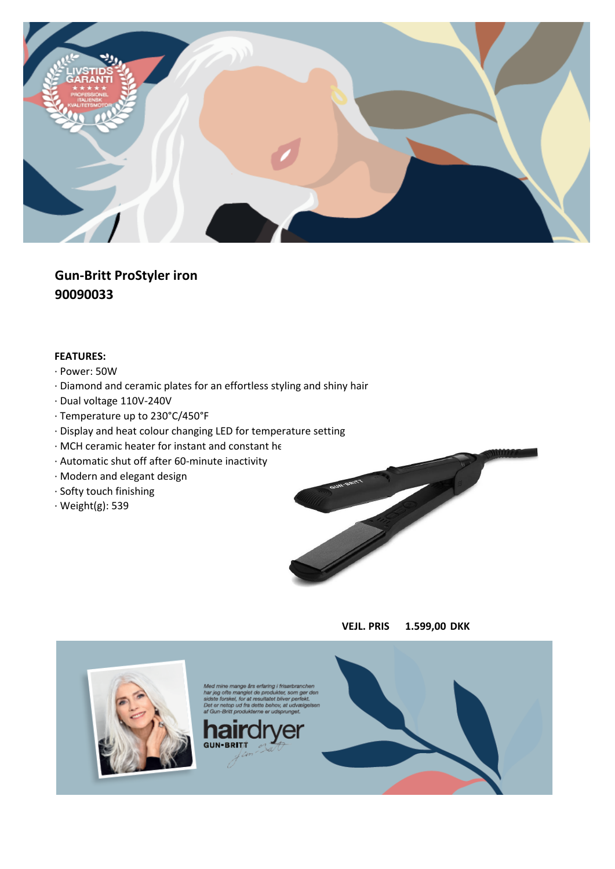

**Gun-Britt ProStyler iron 90090033**

- · Power: 50W
- · Diamond and ceramic plates for an effortless styling and shiny hair
- · Dual voltage 110V-240V
- · Temperature up to 230°C/450°F
- · Display and heat colour changing LED for temperature setting
- $\cdot$  MCH ceramic heater for instant and constant he
- · Automatic shut off after 60-minute inactivity
- · Modern and elegant design
- · Softy touch finishing
- · Weight(g): 539





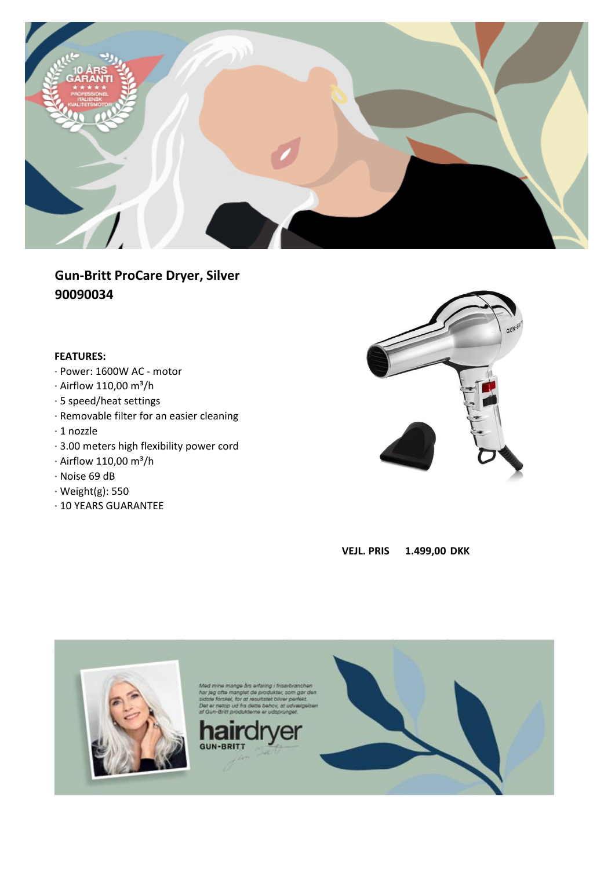

# **Gun-Britt ProCare Dryer, Silver 90090034**

- · Power: 1600W AC motor
- $\cdot$  Airflow 110,00 m<sup>3</sup>/h
- · 5 speed/heat settings
- · Removable filter for an easier cleaning
- · 1 nozzle
- · 3.00 meters high flexibility power cord
- $\cdot$  Airflow 110,00 m<sup>3</sup>/h
- · Noise 69 dB
- · Weight(g): 550
- · 10 YEARS GUARANTEE





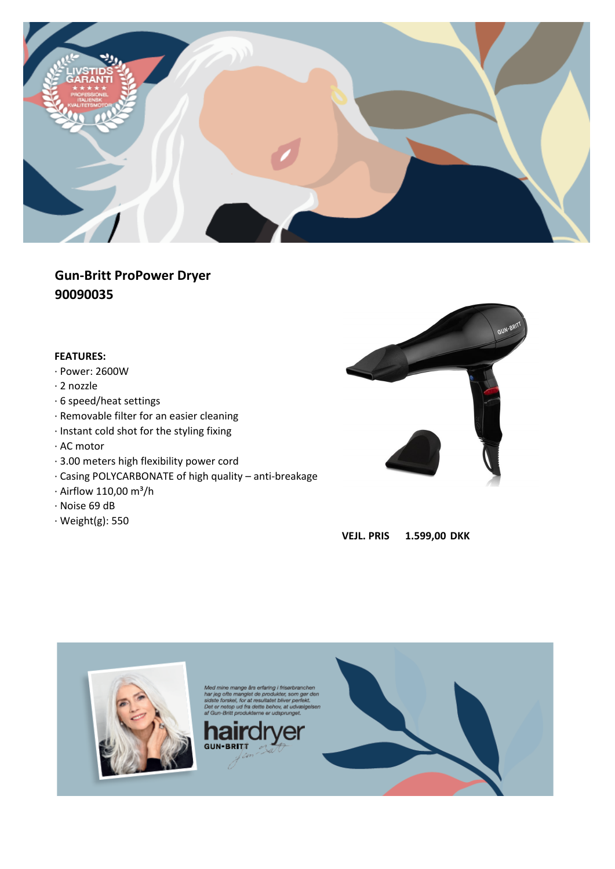

# **Gun-Britt ProPower Dryer 90090035**

- · Power: 2600W
- · 2 nozzle
- · 6 speed/heat settings
- · Removable filter for an easier cleaning
- · Instant cold shot for the styling fixing
- · AC motor
- · 3.00 meters high flexibility power cord
- · Casing POLYCARBONATE of high quality anti-breakage
- $\cdot$  Airflow 110,00 m<sup>3</sup>/h
- · Noise 69 dB
- · Weight(g): 550